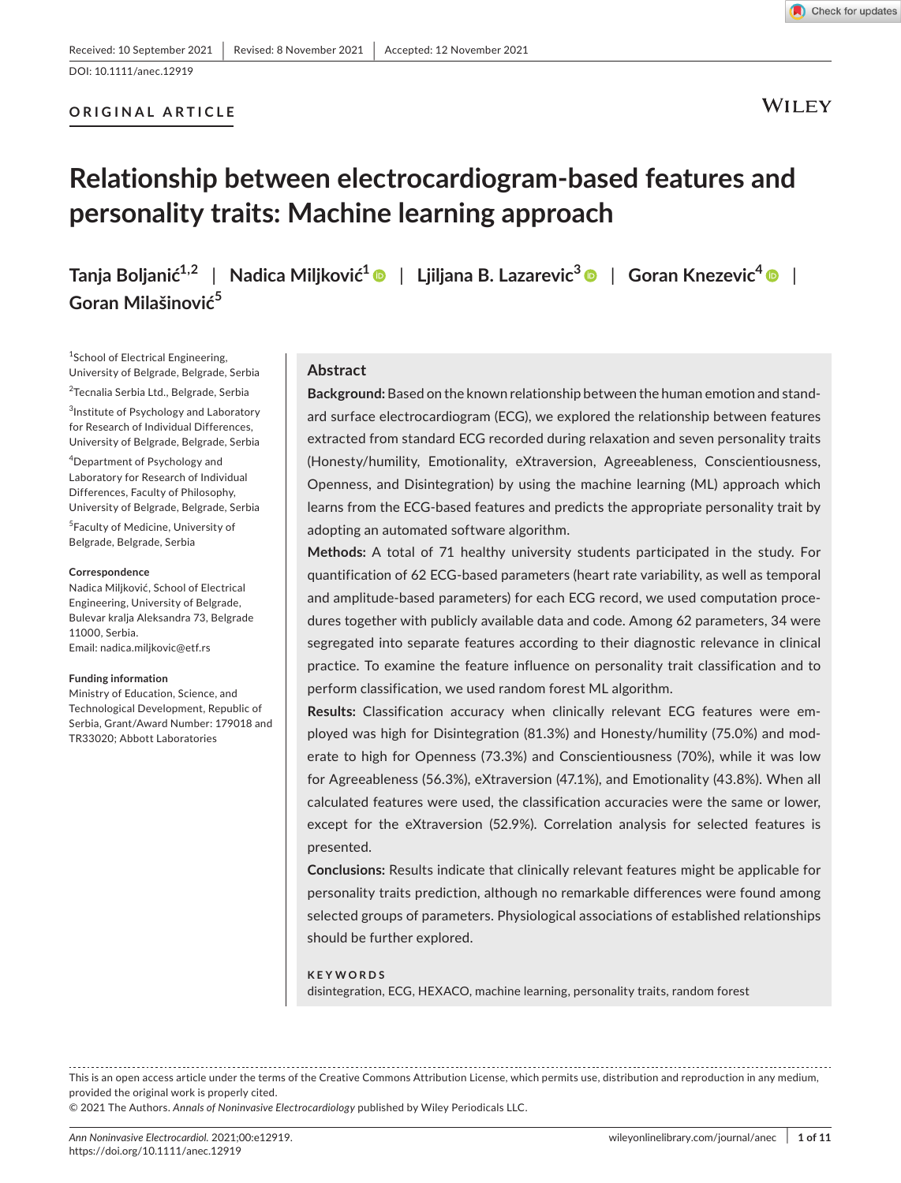# **ORIGINAL ARTICLE**



WILEY

# **Relationship between electrocardiogram-based features and personality traits: Machine learning approach**

**Tanja Boljanić1,2** | **Nadica Miljković<sup>1</sup>** | **Ljiljana B. Lazarevic[3](https://orcid.org/0000-0003-1629-3699)** | **Goran Knezevic[4](https://orcid.org/0000-0001-8951-3774)** | **Goran Milašinović<sup>5</sup>**

1 School of Electrical Engineering, University of Belgrade, Belgrade, Serbia <sup>2</sup>Tecnalia Serbia Ltd., Belgrade, Serbia 3 Institute of Psychology and Laboratory for Research of Individual Differences, University of Belgrade, Belgrade, Serbia

4 Department of Psychology and Laboratory for Research of Individual Differences, Faculty of Philosophy, University of Belgrade, Belgrade, Serbia

5 Faculty of Medicine, University of Belgrade, Belgrade, Serbia

#### **Correspondence**

Nadica Miljković, School of Electrical Engineering, University of Belgrade, Bulevar kralja Aleksandra 73, Belgrade 11000, Serbia. Email: [nadica.miljkovic@etf.rs](mailto:nadica.miljkovic@etf.rs)

#### **Funding information**

Ministry of Education, Science, and Technological Development, Republic of Serbia, Grant/Award Number: 179018 and TR33020; Abbott Laboratories

# **Abstract**

**Background:** Based on the known relationship between the human emotion and standard surface electrocardiogram (ECG), we explored the relationship between features extracted from standard ECG recorded during relaxation and seven personality traits (Honesty/humility, Emotionality, eXtraversion, Agreeableness, Conscientiousness, Openness, and Disintegration) by using the machine learning (ML) approach which learns from the ECG-based features and predicts the appropriate personality trait by adopting an automated software algorithm.

**Methods:** A total of 71 healthy university students participated in the study. For quantification of 62 ECG-based parameters (heart rate variability, as well as temporal and amplitude-based parameters) for each ECG record, we used computation procedures together with publicly available data and code. Among 62 parameters, 34 were segregated into separate features according to their diagnostic relevance in clinical practice. To examine the feature influence on personality trait classification and to perform classification, we used random forest ML algorithm.

**Results:** Classification accuracy when clinically relevant ECG features were employed was high for Disintegration (81.3%) and Honesty/humility (75.0%) and moderate to high for Openness (73.3%) and Conscientiousness (70%), while it was low for Agreeableness (56.3%), eXtraversion (47.1%), and Emotionality (43.8%). When all calculated features were used, the classification accuracies were the same or lower, except for the eXtraversion (52.9%). Correlation analysis for selected features is presented.

**Conclusions:** Results indicate that clinically relevant features might be applicable for personality traits prediction, although no remarkable differences were found among selected groups of parameters. Physiological associations of established relationships should be further explored.

#### **KEYWORDS**

disintegration, ECG, HEXACO, machine learning, personality traits, random forest

This is an open access article under the terms of the Creative Commons [Attribution](http://creativecommons.org/licenses/by/4.0/) License, which permits use, distribution and reproduction in any medium, provided the original work is properly cited.

© 2021 The Authors. *Annals of Noninvasive Electrocardiology* published by Wiley Periodicals LLC.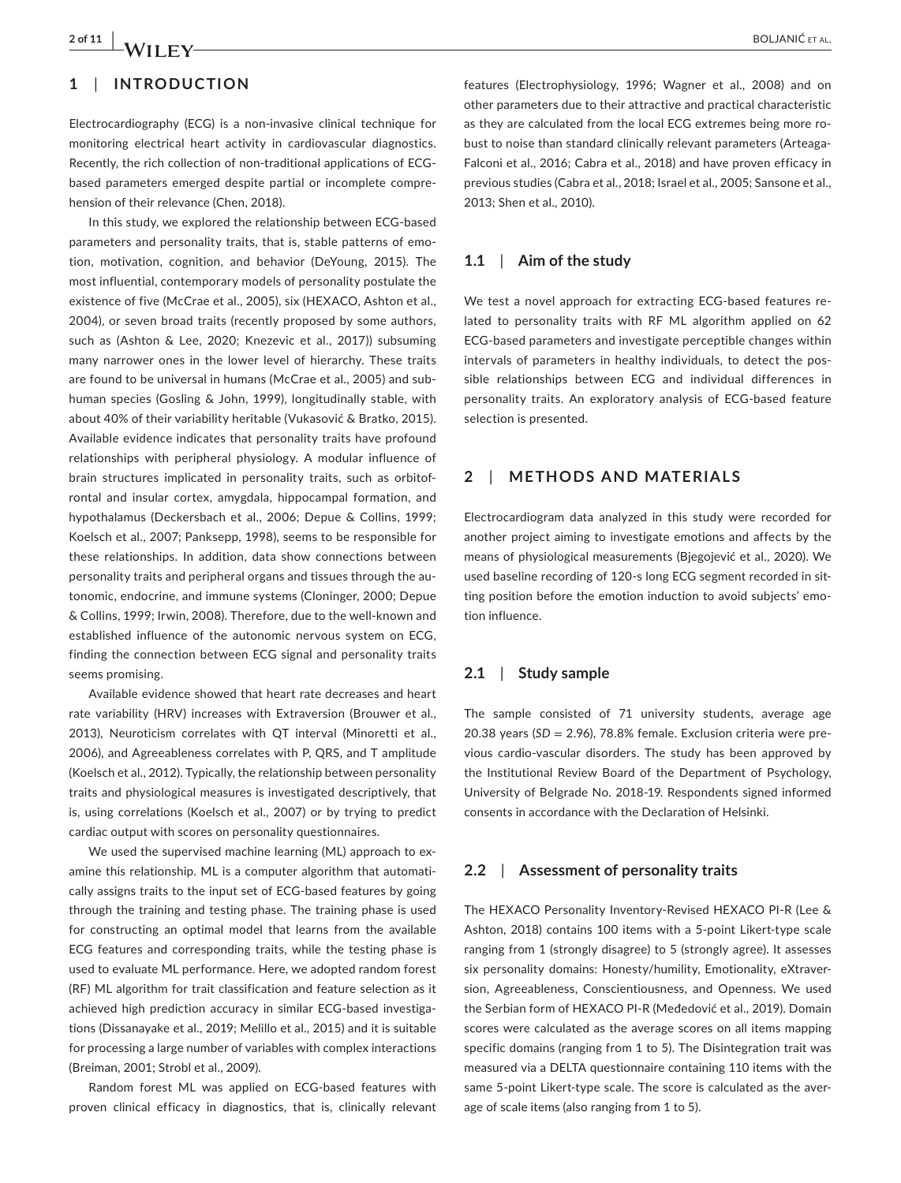# **1**  | **INTRODUCTION**

Electrocardiography (ECG) is a non-invasive clinical technique for monitoring electrical heart activity in cardiovascular diagnostics. Recently, the rich collection of non-traditional applications of ECGbased parameters emerged despite partial or incomplete comprehension of their relevance (Chen, 2018).

In this study, we explored the relationship between ECG-based parameters and personality traits, that is, stable patterns of emotion, motivation, cognition, and behavior (DeYoung, 2015). The most influential, contemporary models of personality postulate the existence of five (McCrae et al., 2005), six (HEXACO, Ashton et al., 2004), or seven broad traits (recently proposed by some authors, such as (Ashton & Lee, 2020; Knezevic et al., 2017)) subsuming many narrower ones in the lower level of hierarchy. These traits are found to be universal in humans (McCrae et al., 2005) and subhuman species (Gosling & John, 1999), longitudinally stable, with about 40% of their variability heritable (Vukasović & Bratko, 2015). Available evidence indicates that personality traits have profound relationships with peripheral physiology. A modular influence of brain structures implicated in personality traits, such as orbitofrontal and insular cortex, amygdala, hippocampal formation, and hypothalamus (Deckersbach et al., 2006; Depue & Collins, 1999; Koelsch et al., 2007; Panksepp, 1998), seems to be responsible for these relationships. In addition, data show connections between personality traits and peripheral organs and tissues through the autonomic, endocrine, and immune systems (Cloninger, 2000; Depue & Collins, 1999; Irwin, 2008). Therefore, due to the well-known and established influence of the autonomic nervous system on ECG, finding the connection between ECG signal and personality traits seems promising.

Available evidence showed that heart rate decreases and heart rate variability (HRV) increases with Extraversion (Brouwer et al., 2013), Neuroticism correlates with QT interval (Minoretti et al., 2006), and Agreeableness correlates with P, QRS, and T amplitude (Koelsch et al., 2012). Typically, the relationship between personality traits and physiological measures is investigated descriptively, that is, using correlations (Koelsch et al., 2007) or by trying to predict cardiac output with scores on personality questionnaires.

We used the supervised machine learning (ML) approach to examine this relationship. ML is a computer algorithm that automatically assigns traits to the input set of ECG-based features by going through the training and testing phase. The training phase is used for constructing an optimal model that learns from the available ECG features and corresponding traits, while the testing phase is used to evaluate ML performance. Here, we adopted random forest (RF) ML algorithm for trait classification and feature selection as it achieved high prediction accuracy in similar ECG-based investigations (Dissanayake et al., 2019; Melillo et al., 2015) and it is suitable for processing a large number of variables with complex interactions (Breiman, 2001; Strobl et al., 2009).

Random forest ML was applied on ECG-based features with proven clinical efficacy in diagnostics, that is, clinically relevant

features (Electrophysiology, 1996; Wagner et al., 2008) and on other parameters due to their attractive and practical characteristic as they are calculated from the local ECG extremes being more robust to noise than standard clinically relevant parameters (Arteaga-Falconi et al., 2016; Cabra et al., 2018) and have proven efficacy in previous studies (Cabra et al., 2018; Israel et al., 2005; Sansone et al., 2013; Shen et al., 2010).

# **1.1**  | **Aim of the study**

We test a novel approach for extracting ECG-based features related to personality traits with RF ML algorithm applied on 62 ECG-based parameters and investigate perceptible changes within intervals of parameters in healthy individuals, to detect the possible relationships between ECG and individual differences in personality traits. An exploratory analysis of ECG-based feature selection is presented.

# **2**  | **METHODS AND MATERIALS**

Electrocardiogram data analyzed in this study were recorded for another project aiming to investigate emotions and affects by the means of physiological measurements (Bjegojević et al., 2020). We used baseline recording of 120-s long ECG segment recorded in sitting position before the emotion induction to avoid subjects' emotion influence.

# **2.1**  | **Study sample**

The sample consisted of 71 university students, average age 20.38 years (*SD* = 2.96), 78.8% female. Exclusion criteria were previous cardio-vascular disorders. The study has been approved by the Institutional Review Board of the Department of Psychology, University of Belgrade No. 2018-19. Respondents signed informed consents in accordance with the Declaration of Helsinki.

# **2.2**  | **Assessment of personality traits**

The HEXACO Personality Inventory-Revised HEXACO PI-R (Lee & Ashton, 2018) contains 100 items with a 5-point Likert-type scale ranging from 1 (strongly disagree) to 5 (strongly agree). It assesses six personality domains: Honesty/humility, Emotionality, eXtraversion, Agreeableness, Conscientiousness, and Openness. We used the Serbian form of HEXACO PI-R (Međedović et al., 2019). Domain scores were calculated as the average scores on all items mapping specific domains (ranging from 1 to 5). The Disintegration trait was measured via a DELTA questionnaire containing 110 items with the same 5-point Likert-type scale. The score is calculated as the average of scale items (also ranging from 1 to 5).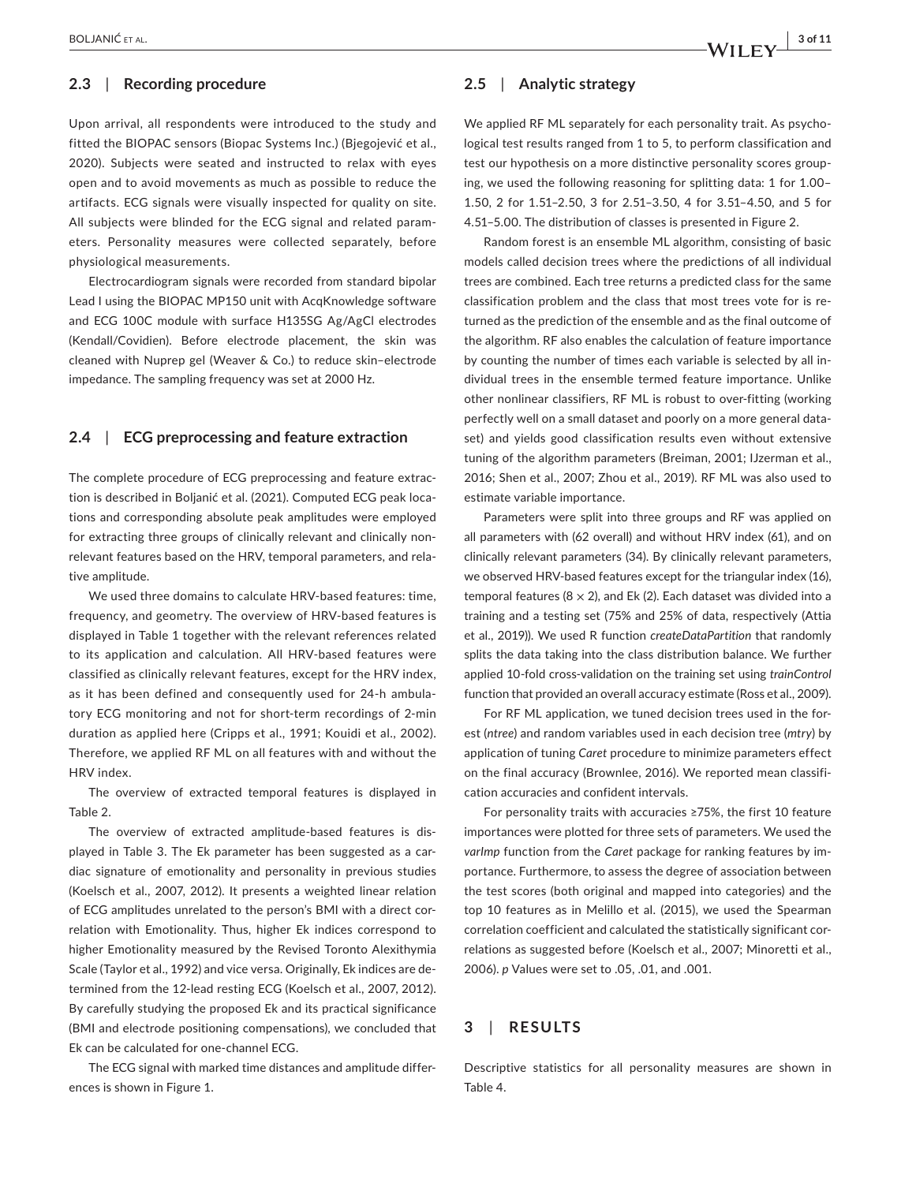# **2.3**  | **Recording procedure**

Upon arrival, all respondents were introduced to the study and fitted the BIOPAC sensors (Biopac Systems Inc.) (Bjegojević et al., 2020). Subjects were seated and instructed to relax with eyes open and to avoid movements as much as possible to reduce the artifacts. ECG signals were visually inspected for quality on site. All subjects were blinded for the ECG signal and related parameters. Personality measures were collected separately, before physiological measurements.

Electrocardiogram signals were recorded from standard bipolar Lead I using the BIOPAC MP150 unit with AcqKnowledge software and ECG 100C module with surface H135SG Ag/AgCl electrodes (Kendall/Covidien). Before electrode placement, the skin was cleaned with Nuprep gel (Weaver & Co.) to reduce skin–electrode impedance. The sampling frequency was set at 2000 Hz.

# **2.4**  | **ECG preprocessing and feature extraction**

The complete procedure of ECG preprocessing and feature extraction is described in Boljanić et al. (2021). Computed ECG peak locations and corresponding absolute peak amplitudes were employed for extracting three groups of clinically relevant and clinically nonrelevant features based on the HRV, temporal parameters, and relative amplitude.

We used three domains to calculate HRV-based features: time, frequency, and geometry. The overview of HRV-based features is displayed in Table 1 together with the relevant references related to its application and calculation. All HRV-based features were classified as clinically relevant features, except for the HRV index, as it has been defined and consequently used for 24-h ambulatory ECG monitoring and not for short-term recordings of 2-min duration as applied here (Cripps et al., 1991; Kouidi et al., 2002). Therefore, we applied RF ML on all features with and without the HRV index.

The overview of extracted temporal features is displayed in Table 2.

The overview of extracted amplitude-based features is displayed in Table 3. The Ek parameter has been suggested as a cardiac signature of emotionality and personality in previous studies (Koelsch et al., 2007, 2012). It presents a weighted linear relation of ECG amplitudes unrelated to the person's BMI with a direct correlation with Emotionality. Thus, higher Ek indices correspond to higher Emotionality measured by the Revised Toronto Alexithymia Scale (Taylor et al., 1992) and vice versa. Originally, Ek indices are determined from the 12-lead resting ECG (Koelsch et al., 2007, 2012). By carefully studying the proposed Ek and its practical significance (BMI and electrode positioning compensations), we concluded that Ek can be calculated for one-channel ECG.

The ECG signal with marked time distances and amplitude differences is shown in Figure 1.

# **2.5**  | **Analytic strategy**

We applied RF ML separately for each personality trait. As psychological test results ranged from 1 to 5, to perform classification and test our hypothesis on a more distinctive personality scores grouping, we used the following reasoning for splitting data: 1 for 1.00– 1.50, 2 for 1.51–2.50, 3 for 2.51–3.50, 4 for 3.51–4.50, and 5 for 4.51–5.00. The distribution of classes is presented in Figure 2.

Random forest is an ensemble ML algorithm, consisting of basic models called decision trees where the predictions of all individual trees are combined. Each tree returns a predicted class for the same classification problem and the class that most trees vote for is returned as the prediction of the ensemble and as the final outcome of the algorithm. RF also enables the calculation of feature importance by counting the number of times each variable is selected by all individual trees in the ensemble termed feature importance. Unlike other nonlinear classifiers, RF ML is robust to over-fitting (working perfectly well on a small dataset and poorly on a more general dataset) and yields good classification results even without extensive tuning of the algorithm parameters (Breiman, 2001; IJzerman et al., 2016; Shen et al., 2007; Zhou et al., 2019). RF ML was also used to estimate variable importance.

Parameters were split into three groups and RF was applied on all parameters with (62 overall) and without HRV index (61), and on clinically relevant parameters (34). By clinically relevant parameters, we observed HRV-based features except for the triangular index (16), temporal features ( $8 \times 2$ ), and Ek (2). Each dataset was divided into a training and a testing set (75% and 25% of data, respectively (Attia et al., 2019)). We used R function *createDataPartition* that randomly splits the data taking into the class distribution balance. We further applied 10-fold cross-validation on the training set using *trainControl* function that provided an overall accuracy estimate (Ross et al., 2009).

For RF ML application, we tuned decision trees used in the forest (*ntree*) and random variables used in each decision tree (*mtry*) by application of tuning *Caret* procedure to minimize parameters effect on the final accuracy (Brownlee, 2016). We reported mean classification accuracies and confident intervals.

For personality traits with accuracies ≥75%, the first 10 feature importances were plotted for three sets of parameters. We used the *varImp* function from the *Caret* package for ranking features by importance. Furthermore, to assess the degree of association between the test scores (both original and mapped into categories) and the top 10 features as in Melillo et al. (2015), we used the Spearman correlation coefficient and calculated the statistically significant correlations as suggested before (Koelsch et al., 2007; Minoretti et al., 2006). *p* Values were set to .05, .01, and .001.

# **3**  | **RESULTS**

Descriptive statistics for all personality measures are shown in Table 4.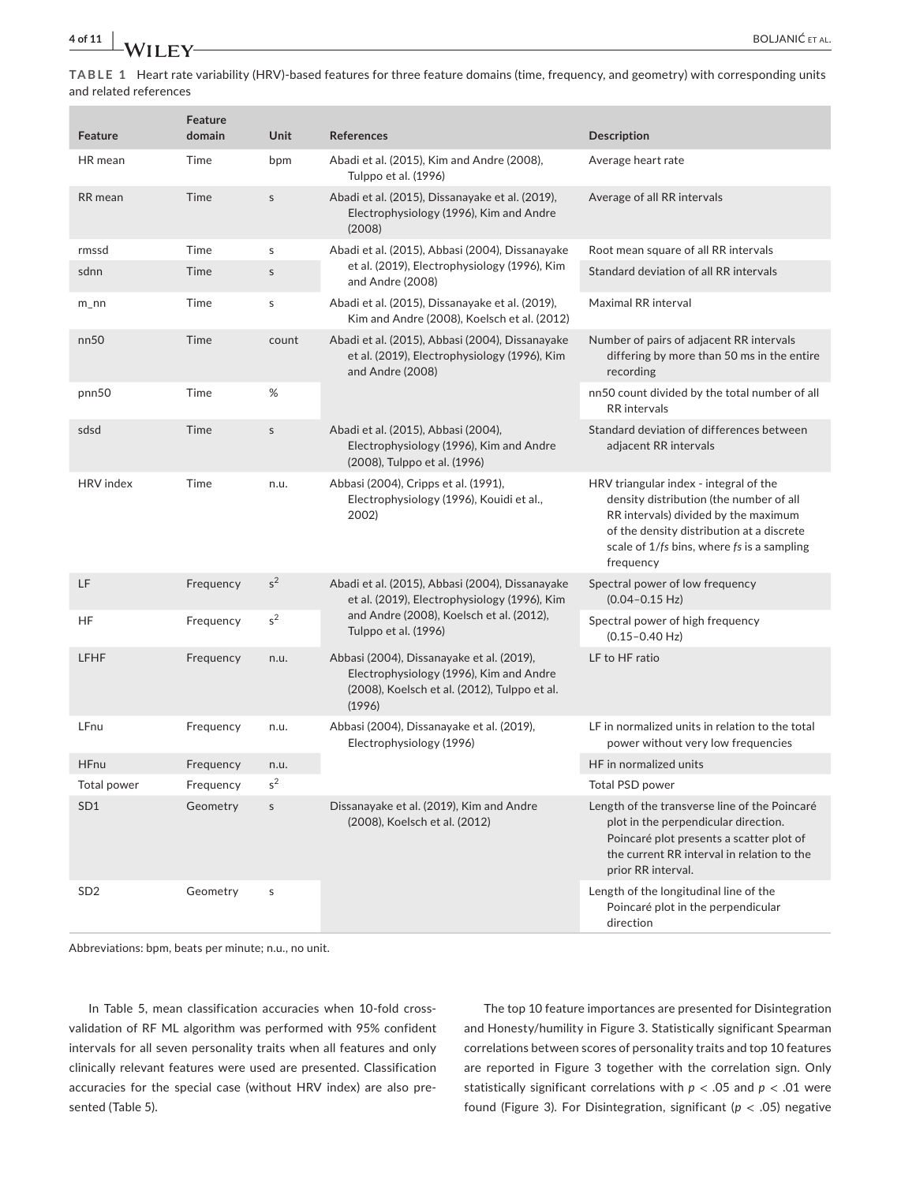**TABLE 1** Heart rate variability (HRV)-based features for three feature domains (time, frequency, and geometry) with corresponding units and related references

| <b>Feature</b>              | Feature<br>domain | Unit                | References                                                                                                                                     | <b>Description</b>                                                                                                                                                                                                                |
|-----------------------------|-------------------|---------------------|------------------------------------------------------------------------------------------------------------------------------------------------|-----------------------------------------------------------------------------------------------------------------------------------------------------------------------------------------------------------------------------------|
| HR mean                     | Time              | bpm                 | Abadi et al. (2015), Kim and Andre (2008),<br>Tulppo et al. (1996)                                                                             | Average heart rate                                                                                                                                                                                                                |
| <b>RR</b> mean              | Time              | $\sf S$             | Abadi et al. (2015), Dissanayake et al. (2019),<br>Electrophysiology (1996), Kim and Andre<br>(2008)                                           | Average of all RR intervals                                                                                                                                                                                                       |
| rmssd                       | Time              | s                   | Abadi et al. (2015), Abbasi (2004), Dissanayake                                                                                                | Root mean square of all RR intervals                                                                                                                                                                                              |
| sdnn                        | Time              | $\sf S$             | et al. (2019), Electrophysiology (1996), Kim<br>and Andre (2008)                                                                               | Standard deviation of all RR intervals                                                                                                                                                                                            |
| $m_$ nn                     | Time              | s                   | Abadi et al. (2015), Dissanayake et al. (2019),<br>Kim and Andre (2008), Koelsch et al. (2012)                                                 | Maximal RR interval                                                                                                                                                                                                               |
| nn50                        | Time              | count               | Abadi et al. (2015), Abbasi (2004), Dissanayake<br>et al. (2019), Electrophysiology (1996), Kim<br>and Andre (2008)                            | Number of pairs of adjacent RR intervals<br>differing by more than 50 ms in the entire<br>recording                                                                                                                               |
| pnn50                       | Time              | $\%$                |                                                                                                                                                | nn50 count divided by the total number of all<br>RR intervals                                                                                                                                                                     |
| sdsd                        | Time              | $\mathsf{s}$        | Abadi et al. (2015), Abbasi (2004),<br>Electrophysiology (1996), Kim and Andre<br>(2008), Tulppo et al. (1996)                                 | Standard deviation of differences between<br>adjacent RR intervals                                                                                                                                                                |
| HRV index                   | Time              | n.u.                | Abbasi (2004), Cripps et al. (1991),<br>Electrophysiology (1996), Kouidi et al.,<br>2002)                                                      | HRV triangular index - integral of the<br>density distribution (the number of all<br>RR intervals) divided by the maximum<br>of the density distribution at a discrete<br>scale of 1/fs bins, where fs is a sampling<br>frequency |
| LF                          | Frequency         | $s^2$               | Abadi et al. (2015), Abbasi (2004), Dissanayake<br>et al. (2019), Electrophysiology (1996), Kim                                                | Spectral power of low frequency<br>$(0.04 - 0.15 \text{ Hz})$                                                                                                                                                                     |
| HF                          | Frequency         | $\rm s^2$           | and Andre (2008), Koelsch et al. (2012),<br>Tulppo et al. (1996)                                                                               | Spectral power of high frequency<br>$(0.15 - 0.40 \text{ Hz})$                                                                                                                                                                    |
| LFHF                        | Frequency         | n.u.                | Abbasi (2004), Dissanayake et al. (2019),<br>Electrophysiology (1996), Kim and Andre<br>(2008), Koelsch et al. (2012), Tulppo et al.<br>(1996) | LF to HF ratio                                                                                                                                                                                                                    |
| LFnu                        | Frequency         | n.u.                | Abbasi (2004), Dissanayake et al. (2019),<br>Electrophysiology (1996)                                                                          | LF in normalized units in relation to the total<br>power without very low frequencies                                                                                                                                             |
| <b>HFnu</b>                 | Frequency         | n.u.                |                                                                                                                                                | HF in normalized units                                                                                                                                                                                                            |
| Total power                 | Frequency         | $\overline{c}$<br>S |                                                                                                                                                | Total PSD power                                                                                                                                                                                                                   |
| SD <sub>1</sub>             | Geometry          | $\sf S$             | Dissanayake et al. (2019), Kim and Andre<br>(2008), Koelsch et al. (2012)                                                                      | Length of the transverse line of the Poincaré<br>plot in the perpendicular direction.<br>Poincaré plot presents a scatter plot of<br>the current RR interval in relation to the<br>prior RR interval.                             |
| SD <sub>2</sub><br>Geometry |                   | $\sf S$             |                                                                                                                                                | Length of the longitudinal line of the<br>Poincaré plot in the perpendicular<br>direction                                                                                                                                         |

Abbreviations: bpm, beats per minute; n.u., no unit.

In Table 5, mean classification accuracies when 10-fold crossvalidation of RF ML algorithm was performed with 95% confident intervals for all seven personality traits when all features and only clinically relevant features were used are presented. Classification accuracies for the special case (without HRV index) are also presented (Table 5).

The top 10 feature importances are presented for Disintegration and Honesty/humility in Figure 3. Statistically significant Spearman correlations between scores of personality traits and top 10 features are reported in Figure 3 together with the correlation sign. Only statistically significant correlations with *p* < .05 and *p* < .01 were found (Figure 3). For Disintegration, significant (*p* < .05) negative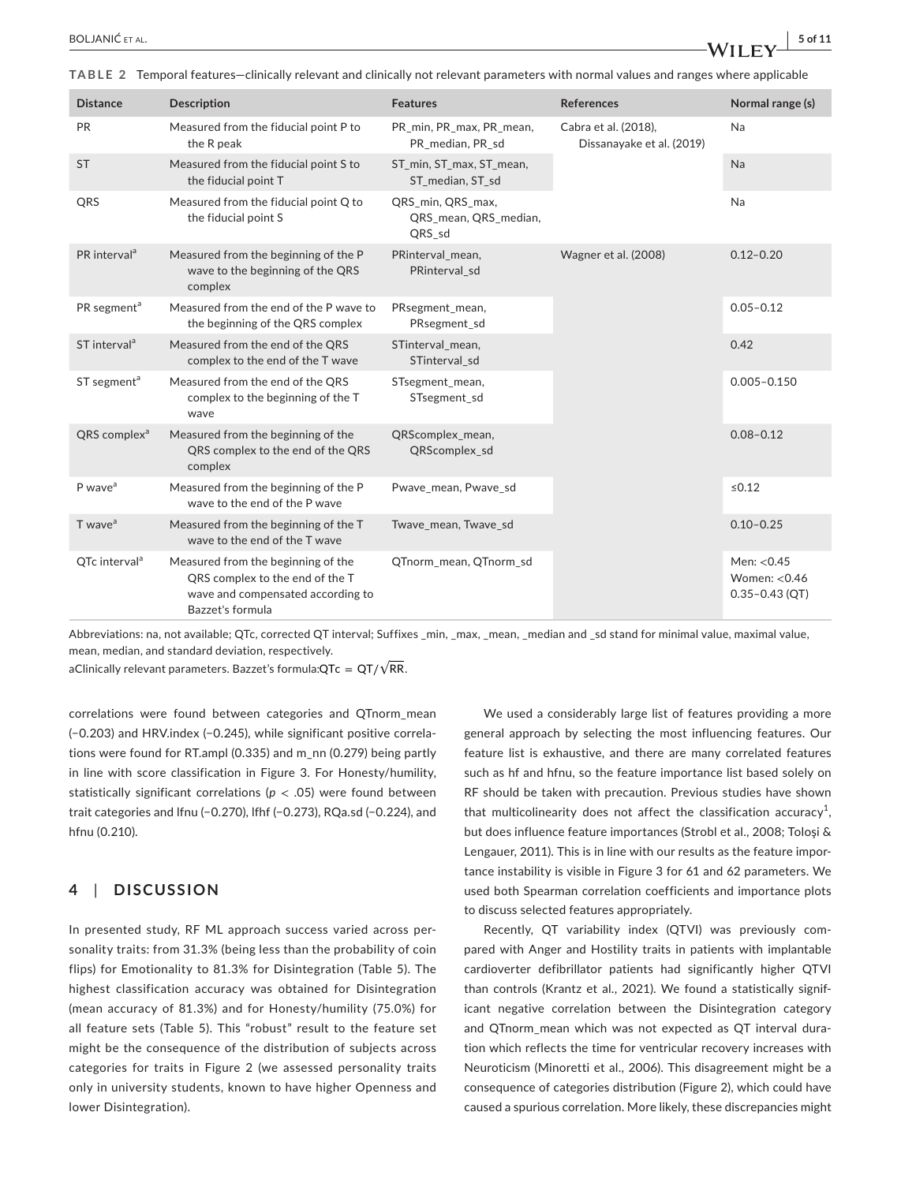**TABLE 2** Temporal features—clinically relevant and clinically not relevant parameters with normal values and ranges where applicable

| <b>Distance</b>           | <b>Description</b>                                                                                                             | <b>Features</b>                                      | <b>References</b>                                 | Normal range (s)                                    |
|---------------------------|--------------------------------------------------------------------------------------------------------------------------------|------------------------------------------------------|---------------------------------------------------|-----------------------------------------------------|
| PR                        | Measured from the fiducial point P to<br>the R peak                                                                            | PR min, PR max, PR mean,<br>PR median, PR sd         | Cabra et al. (2018),<br>Dissanayake et al. (2019) | Na                                                  |
| <b>ST</b>                 | Measured from the fiducial point S to<br>the fiducial point T                                                                  | ST_min, ST_max, ST_mean,<br>ST median, ST sd         |                                                   | Na                                                  |
| QRS                       | Measured from the fiducial point Q to<br>the fiducial point S                                                                  | QRS_min, QRS_max,<br>QRS_mean, QRS_median,<br>QRS sd |                                                   | Na                                                  |
| PR interval <sup>a</sup>  | Measured from the beginning of the P<br>wave to the beginning of the QRS<br>complex                                            | PRinterval_mean,<br>PRinterval sd                    | Wagner et al. (2008)                              | $0.12 - 0.20$                                       |
| PR segment <sup>a</sup>   | Measured from the end of the P wave to<br>the beginning of the QRS complex                                                     | PRsegment_mean,<br>PRsegment sd                      |                                                   | $0.05 - 0.12$                                       |
| ST interval <sup>a</sup>  | Measured from the end of the QRS<br>complex to the end of the T wave                                                           | STinterval mean,<br>STinterval sd                    |                                                   | 0.42                                                |
| ST segment <sup>a</sup>   | Measured from the end of the QRS<br>complex to the beginning of the T<br>wave                                                  | STsegment_mean,<br>STsegment_sd                      |                                                   | $0.005 - 0.150$                                     |
| QRS complex <sup>a</sup>  | Measured from the beginning of the<br>QRS complex to the end of the QRS<br>complex                                             | QRScomplex_mean,<br>QRScomplex sd                    |                                                   | $0.08 - 0.12$                                       |
| P wave <sup>a</sup>       | Measured from the beginning of the P<br>wave to the end of the P wave                                                          | Pwave_mean, Pwave_sd                                 |                                                   | $≤0.12$                                             |
| T wave <sup>a</sup>       | Measured from the beginning of the T<br>Twave mean, Twave sd<br>wave to the end of the T wave                                  |                                                      |                                                   | $0.10 - 0.25$                                       |
| QTc interval <sup>a</sup> | Measured from the beginning of the<br>QRS complex to the end of the T<br>wave and compensated according to<br>Bazzet's formula | QTnorm_mean, QTnorm_sd                               |                                                   | Men: <0.45<br>Women: $< 0.46$<br>$0.35 - 0.43$ (QT) |

Abbreviations: na, not available; QTc, corrected QT interval; Suffixes \_min, \_max, \_mean, \_median and \_sd stand for minimal value, maximal value, mean, median, and standard deviation, respectively.

aClinically relevant parameters. Bazzet's formula:QTc  $= \textsf{QT}/\sqrt{\textsf{RR}}$ .

correlations were found between categories and QTnorm\_mean (−0.203) and HRV.index (−0.245), while significant positive correlations were found for RT.ampl (0.335) and m\_nn (0.279) being partly in line with score classification in Figure 3. For Honesty/humility, statistically significant correlations (*p* < .05) were found between trait categories and lfnu (−0.270), lfhf (−0.273), RQa.sd (−0.224), and hfnu (0.210).

# **4**  | **DISCUSSION**

In presented study, RF ML approach success varied across personality traits: from 31.3% (being less than the probability of coin flips) for Emotionality to 81.3% for Disintegration (Table 5). The highest classification accuracy was obtained for Disintegration (mean accuracy of 81.3%) and for Honesty/humility (75.0%) for all feature sets (Table 5). This "robust" result to the feature set might be the consequence of the distribution of subjects across categories for traits in Figure 2 (we assessed personality traits only in university students, known to have higher Openness and lower Disintegration).

We used a considerably large list of features providing a more general approach by selecting the most influencing features. Our feature list is exhaustive, and there are many correlated features such as hf and hfnu, so the feature importance list based solely on RF should be taken with precaution. Previous studies have shown that multicolinearity does not affect the classification accuracy<sup>1</sup>, but does influence feature importances (Strobl et al., 2008; Toloşi & Lengauer, 2011). This is in line with our results as the feature importance instability is visible in Figure 3 for 61 and 62 parameters. We used both Spearman correlation coefficients and importance plots to discuss selected features appropriately.

Recently, QT variability index (QTVI) was previously compared with Anger and Hostility traits in patients with implantable cardioverter defibrillator patients had significantly higher QTVI than controls (Krantz et al., 2021). We found a statistically significant negative correlation between the Disintegration category and QTnorm\_mean which was not expected as QT interval duration which reflects the time for ventricular recovery increases with Neuroticism (Minoretti et al., 2006). This disagreement might be a consequence of categories distribution (Figure 2), which could have caused a spurious correlation. More likely, these discrepancies might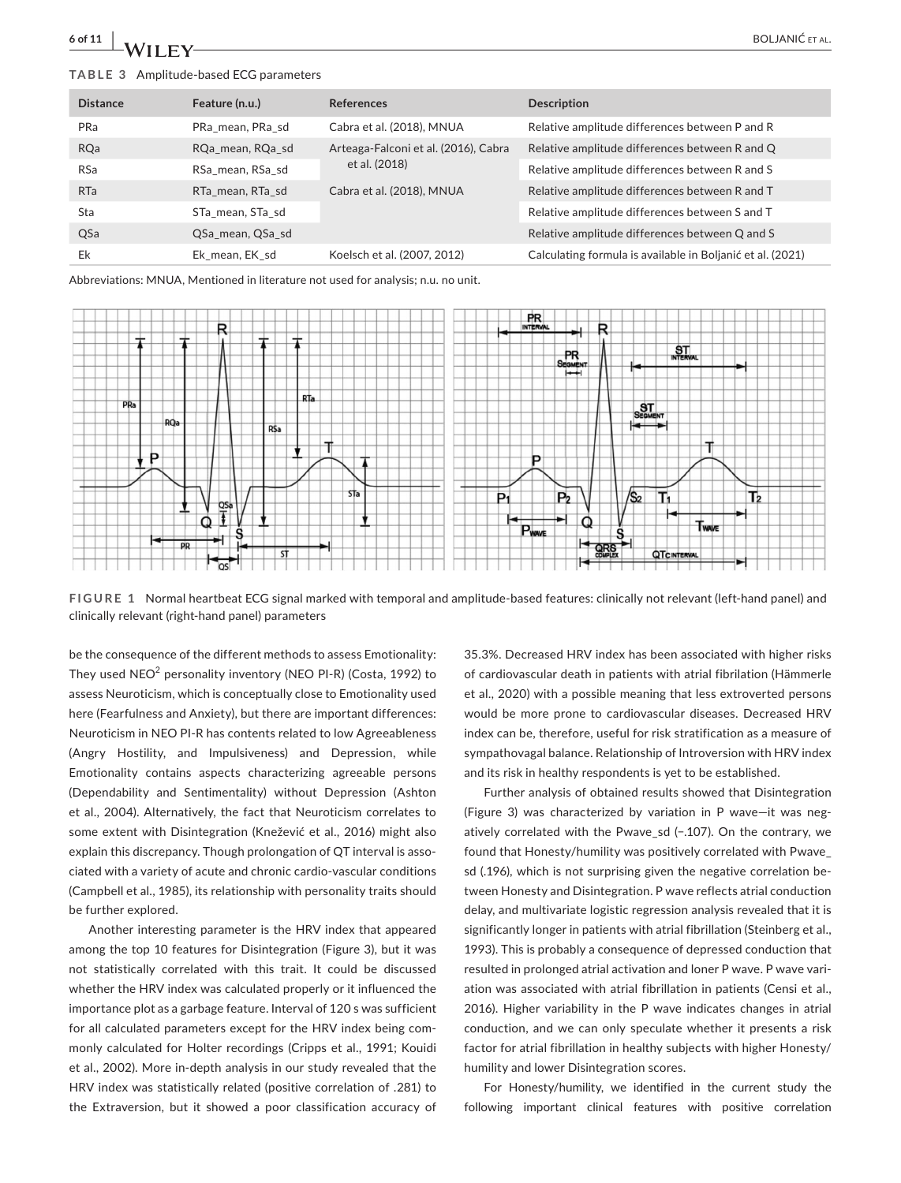## **TABLE 3** Amplitude-based ECG parameters

| <b>Distance</b> | Feature (n.u.)   | <b>References</b>                    | <b>Description</b>                                         |
|-----------------|------------------|--------------------------------------|------------------------------------------------------------|
| PRa             | PRa mean, PRa sd | Cabra et al. (2018), MNUA            | Relative amplitude differences between P and R             |
| <b>RQa</b>      | RQa mean, RQa sd | Arteaga-Falconi et al. (2016), Cabra | Relative amplitude differences between R and Q             |
| <b>RSa</b>      | RSa mean, RSa sd | et al. (2018)                        | Relative amplitude differences between R and S             |
| <b>RTa</b>      | RTa mean, RTa sd | Cabra et al. (2018), MNUA            | Relative amplitude differences between R and T             |
| Sta             | STa mean, STa sd |                                      | Relative amplitude differences between S and T             |
| QSa             | QSa mean, QSa sd |                                      | Relative amplitude differences between Q and S             |
| Ek              | Ek mean, EK sd   | Koelsch et al. (2007, 2012)          | Calculating formula is available in Boljanić et al. (2021) |

Abbreviations: MNUA, Mentioned in literature not used for analysis; n.u. no unit.



**FIGURE 1** Normal heartbeat ECG signal marked with temporal and amplitude-based features: clinically not relevant (left-hand panel) and clinically relevant (right-hand panel) parameters

be the consequence of the different methods to assess Emotionality: They used  $NEO<sup>2</sup>$  personality inventory (NEO PI-R) (Costa, 1992) to assess Neuroticism, which is conceptually close to Emotionality used here (Fearfulness and Anxiety), but there are important differences: Neuroticism in NEO PI-R has contents related to low Agreeableness (Angry Hostility, and Impulsiveness) and Depression, while Emotionality contains aspects characterizing agreeable persons (Dependability and Sentimentality) without Depression (Ashton et al., 2004). Alternatively, the fact that Neuroticism correlates to some extent with Disintegration (Knežević et al., 2016) might also explain this discrepancy. Though prolongation of QT interval is associated with a variety of acute and chronic cardio-vascular conditions (Campbell et al., 1985), its relationship with personality traits should be further explored.

Another interesting parameter is the HRV index that appeared among the top 10 features for Disintegration (Figure 3), but it was not statistically correlated with this trait. It could be discussed whether the HRV index was calculated properly or it influenced the importance plot as a garbage feature. Interval of 120 s was sufficient for all calculated parameters except for the HRV index being commonly calculated for Holter recordings (Cripps et al., 1991; Kouidi et al., 2002). More in-depth analysis in our study revealed that the HRV index was statistically related (positive correlation of .281) to the Extraversion, but it showed a poor classification accuracy of

35.3%. Decreased HRV index has been associated with higher risks of cardiovascular death in patients with atrial fibrilation (Hämmerle et al., 2020) with a possible meaning that less extroverted persons would be more prone to cardiovascular diseases. Decreased HRV index can be, therefore, useful for risk stratification as a measure of sympathovagal balance. Relationship of Introversion with HRV index and its risk in healthy respondents is yet to be established.

Further analysis of obtained results showed that Disintegration (Figure 3) was characterized by variation in P wave—it was negatively correlated with the Pwave\_sd (−.107). On the contrary, we found that Honesty/humility was positively correlated with Pwave\_ sd (.196), which is not surprising given the negative correlation between Honesty and Disintegration. P wave reflects atrial conduction delay, and multivariate logistic regression analysis revealed that it is significantly longer in patients with atrial fibrillation (Steinberg et al., 1993). This is probably a consequence of depressed conduction that resulted in prolonged atrial activation and loner P wave. P wave variation was associated with atrial fibrillation in patients (Censi et al., 2016). Higher variability in the P wave indicates changes in atrial conduction, and we can only speculate whether it presents a risk factor for atrial fibrillation in healthy subjects with higher Honesty/ humility and lower Disintegration scores.

For Honesty/humility, we identified in the current study the following important clinical features with positive correlation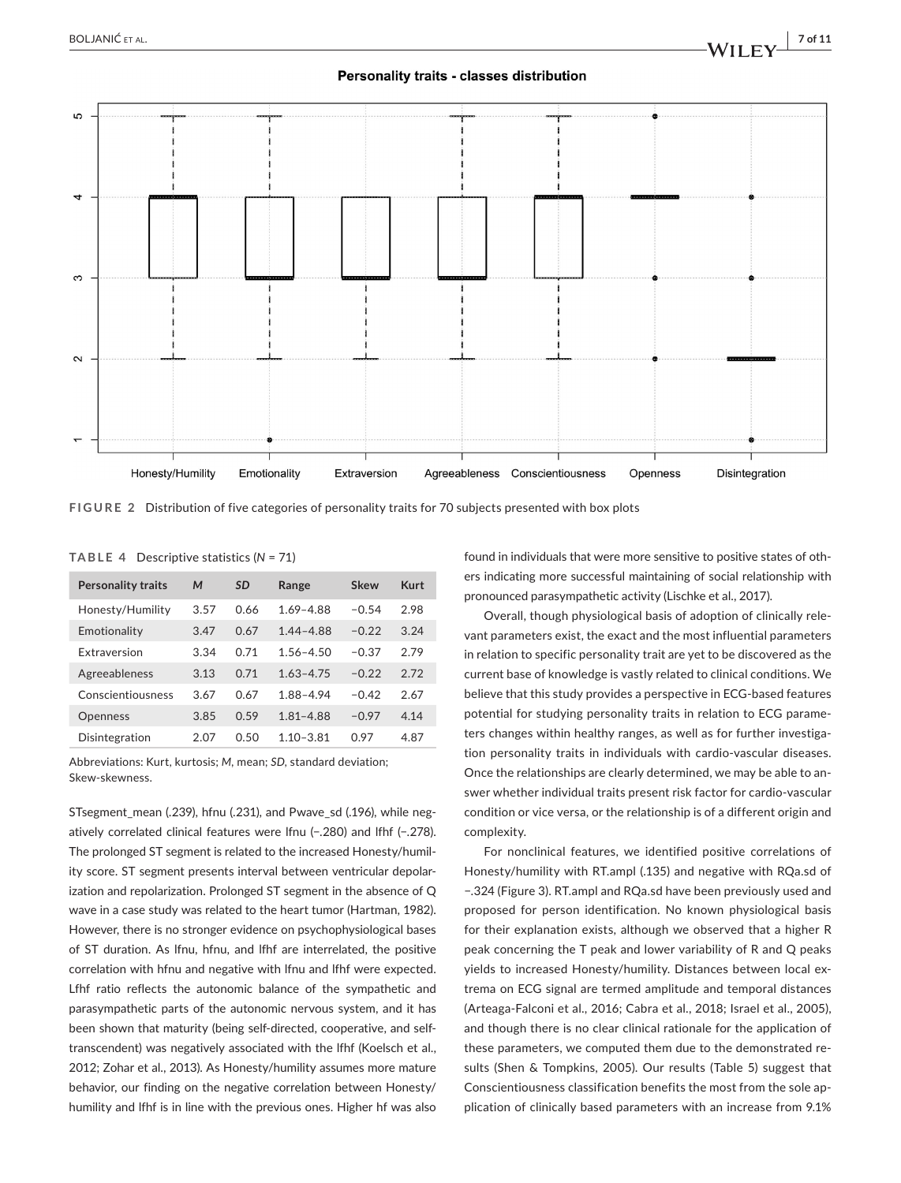# Personality traits - classes distribution



**FIGURE 2** Distribution of five categories of personality traits for 70 subjects presented with box plots

**TABLE 4** Descriptive statistics (*N* = 71)

| <b>Personality traits</b> | M    | <b>SD</b> | Range         | Skew    | Kurt |
|---------------------------|------|-----------|---------------|---------|------|
| Honesty/Humility          | 3.57 | 0.66      | $1.69 - 4.88$ | $-0.54$ | 2.98 |
| Emotionality              | 3.47 | 0.67      | $1.44 - 4.88$ | $-0.22$ | 3.24 |
| <b>Extraversion</b>       | 3.34 | 0.71      | $1.56 - 4.50$ | $-0.37$ | 2.79 |
| Agreeableness             | 3.13 | 0.71      | $1.63 - 4.75$ | $-0.22$ | 2.72 |
| Conscientiousness         | 3.67 | 0.67      | 1.88-4.94     | $-0.42$ | 2.67 |
| <b>Openness</b>           | 3.85 | 0.59      | $1.81 - 4.88$ | $-0.97$ | 4.14 |
| Disintegration            | 2.07 | 0.50      | $1.10 - 3.81$ | 0.97    | 4.87 |

Abbreviations: Kurt, kurtosis; *M,* mean; *SD*, standard deviation; Skew-skewness.

STsegment\_mean (.239), hfnu (.231), and Pwave\_sd (.196), while negatively correlated clinical features were lfnu (−.280) and lfhf (−.278). The prolonged ST segment is related to the increased Honesty/humility score. ST segment presents interval between ventricular depolarization and repolarization. Prolonged ST segment in the absence of Q wave in a case study was related to the heart tumor (Hartman, 1982). However, there is no stronger evidence on psychophysiological bases of ST duration. As lfnu, hfnu, and lfhf are interrelated, the positive correlation with hfnu and negative with lfnu and lfhf were expected. Lfhf ratio reflects the autonomic balance of the sympathetic and parasympathetic parts of the autonomic nervous system, and it has been shown that maturity (being self-directed, cooperative, and selftranscendent) was negatively associated with the lfhf (Koelsch et al., 2012; Zohar et al., 2013). As Honesty/humility assumes more mature behavior, our finding on the negative correlation between Honesty/ humility and lfhf is in line with the previous ones. Higher hf was also

found in individuals that were more sensitive to positive states of others indicating more successful maintaining of social relationship with pronounced parasympathetic activity (Lischke et al., 2017).

Overall, though physiological basis of adoption of clinically relevant parameters exist, the exact and the most influential parameters in relation to specific personality trait are yet to be discovered as the current base of knowledge is vastly related to clinical conditions. We believe that this study provides a perspective in ECG-based features potential for studying personality traits in relation to ECG parameters changes within healthy ranges, as well as for further investigation personality traits in individuals with cardio-vascular diseases. Once the relationships are clearly determined, we may be able to answer whether individual traits present risk factor for cardio-vascular condition or vice versa, or the relationship is of a different origin and complexity.

For nonclinical features, we identified positive correlations of Honesty/humility with RT.ampl (.135) and negative with RQa.sd of −.324 (Figure 3). RT.ampl and RQa.sd have been previously used and proposed for person identification. No known physiological basis for their explanation exists, although we observed that a higher R peak concerning the T peak and lower variability of R and Q peaks yields to increased Honesty/humility. Distances between local extrema on ECG signal are termed amplitude and temporal distances (Arteaga-Falconi et al., 2016; Cabra et al., 2018; Israel et al., 2005), and though there is no clear clinical rationale for the application of these parameters, we computed them due to the demonstrated results (Shen & Tompkins, 2005). Our results (Table 5) suggest that Conscientiousness classification benefits the most from the sole application of clinically based parameters with an increase from 9.1%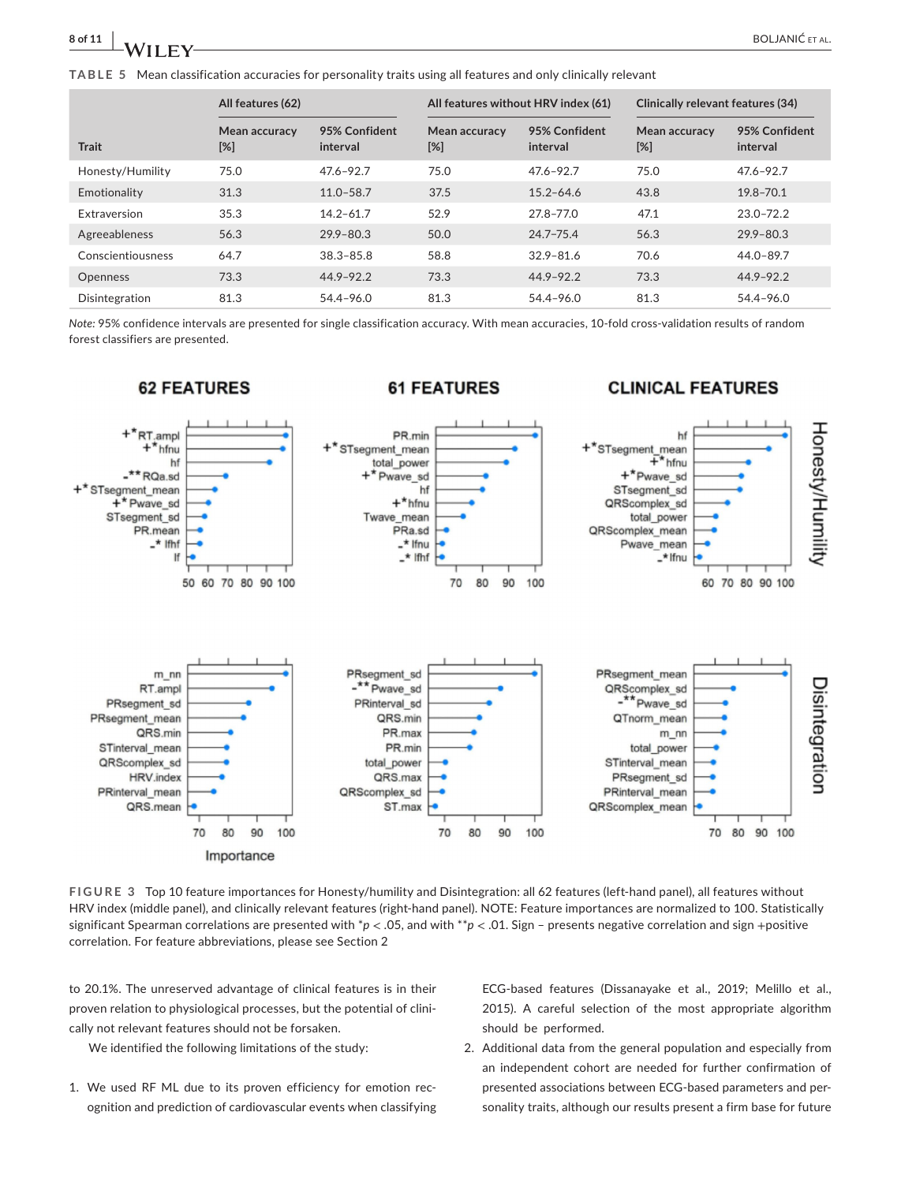**TABLE 5** Mean classification accuracies for personality traits using all features and only clinically relevant

|                   | All features (62)       |                           | All features without HRV index (61) |                           | Clinically relevant features (34) |                           |
|-------------------|-------------------------|---------------------------|-------------------------------------|---------------------------|-----------------------------------|---------------------------|
| <b>Trait</b>      | Mean accuracy<br>$[\%]$ | 95% Confident<br>interval | Mean accuracy<br>$[\%]$             | 95% Confident<br>interval | Mean accuracy<br>[%]              | 95% Confident<br>interval |
| Honesty/Humility  | 75.0                    | $47.6 - 92.7$             | 75.0                                | $47.6 - 92.7$             | 75.0                              | $47.6 - 92.7$             |
| Emotionality      | 31.3                    | $11.0 - 58.7$             | 37.5                                | $15.2 - 64.6$             | 43.8                              | $19.8 - 70.1$             |
| Extraversion      | 35.3                    | $14.2 - 61.7$             | 52.9                                | 27.8-77.0                 | 47.1                              | $23.0 - 72.2$             |
| Agreeableness     | 56.3                    | $29.9 - 80.3$             | 50.0                                | $24.7 - 75.4$             | 56.3                              | $29.9 - 80.3$             |
| Conscientiousness | 64.7                    | $38.3 - 85.8$             | 58.8                                | $32.9 - 81.6$             | 70.6                              | $44.0 - 89.7$             |
| <b>Openness</b>   | 73.3                    | $44.9 - 92.2$             | 73.3                                | $44.9 - 92.2$             | 73.3                              | $44.9 - 92.2$             |
| Disintegration    | 81.3                    | 54.4-96.0                 | 81.3                                | 54.4-96.0                 | 81.3                              | 54.4-96.0                 |

*Note:* 95% confidence intervals are presented for single classification accuracy. With mean accuracies, 10-fold cross-validation results of random forest classifiers are presented.



**FIGURE 3** Top 10 feature importances for Honesty/humility and Disintegration: all 62 features (left-hand panel), all features without HRV index (middle panel), and clinically relevant features (right-hand panel). NOTE: Feature importances are normalized to 100. Statistically significant Spearman correlations are presented with \*p < .05, and with \*\*p < .01. Sign - presents negative correlation and sign +positive correlation. For feature abbreviations, please see Section 2

to 20.1%. The unreserved advantage of clinical features is in their proven relation to physiological processes, but the potential of clinically not relevant features should not be forsaken.

We identified the following limitations of the study:

1. We used RF ML due to its proven efficiency for emotion recognition and prediction of cardiovascular events when classifying ECG-based features (Dissanayake et al., 2019; Melillo et al., 2015). A careful selection of the most appropriate algorithm should be performed.

2. Additional data from the general population and especially from an independent cohort are needed for further confirmation of presented associations between ECG-based parameters and personality traits, although our results present a firm base for future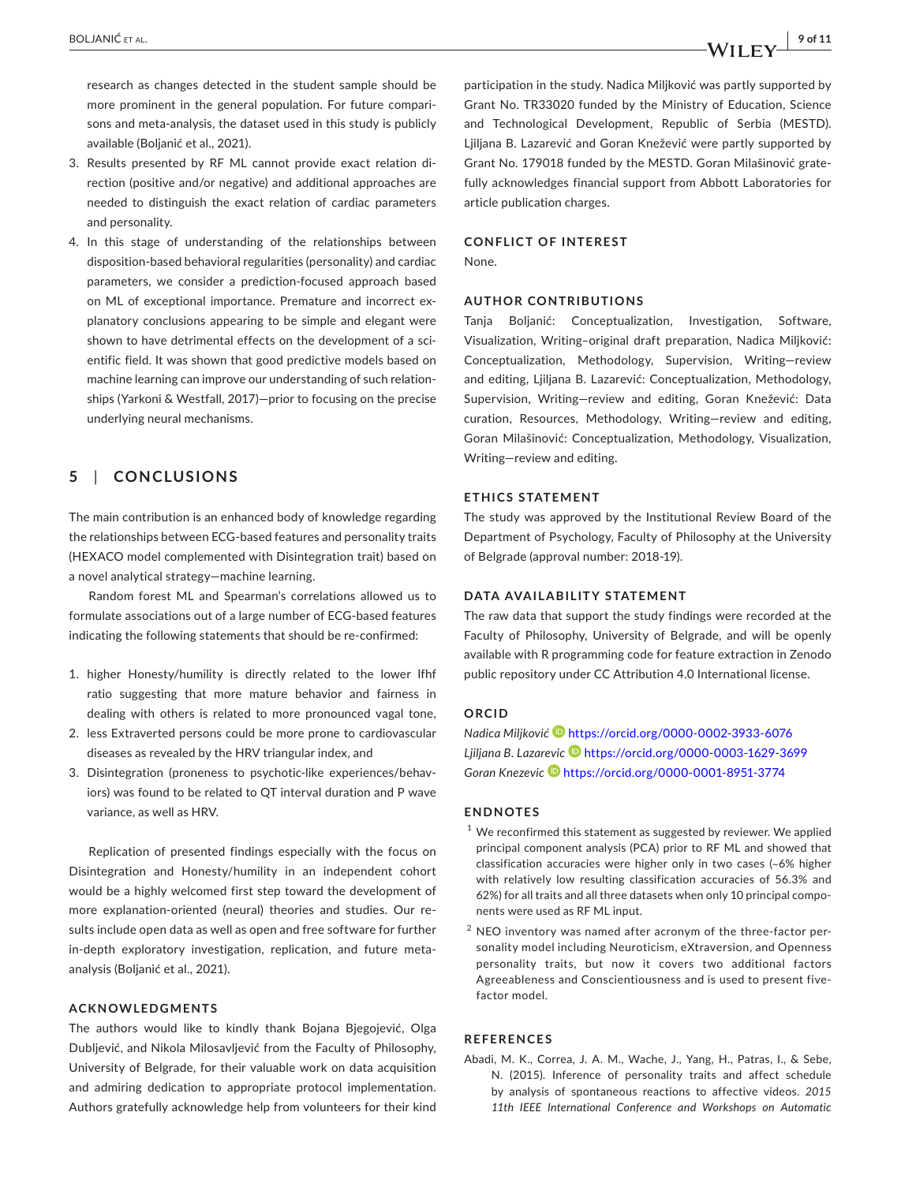research as changes detected in the student sample should be more prominent in the general population. For future comparisons and meta-analysis, the dataset used in this study is publicly available (Boljanić et al., 2021).

- 3. Results presented by RF ML cannot provide exact relation direction (positive and/or negative) and additional approaches are needed to distinguish the exact relation of cardiac parameters and personality.
- 4. In this stage of understanding of the relationships between disposition-based behavioral regularities (personality) and cardiac parameters, we consider a prediction-focused approach based on ML of exceptional importance. Premature and incorrect explanatory conclusions appearing to be simple and elegant were shown to have detrimental effects on the development of a scientific field. It was shown that good predictive models based on machine learning can improve our understanding of such relationships (Yarkoni & Westfall, 2017)—prior to focusing on the precise underlying neural mechanisms.

# **5**  | **CONCLUSIONS**

The main contribution is an enhanced body of knowledge regarding the relationships between ECG-based features and personality traits (HEXACO model complemented with Disintegration trait) based on a novel analytical strategy—machine learning.

Random forest ML and Spearman's correlations allowed us to formulate associations out of a large number of ECG-based features indicating the following statements that should be re-confirmed:

- 1. higher Honesty/humility is directly related to the lower lfhf ratio suggesting that more mature behavior and fairness in dealing with others is related to more pronounced vagal tone,
- 2. less Extraverted persons could be more prone to cardiovascular diseases as revealed by the HRV triangular index, and
- 3. Disintegration (proneness to psychotic-like experiences/behaviors) was found to be related to QT interval duration and P wave variance, as well as HRV.

Replication of presented findings especially with the focus on Disintegration and Honesty/humility in an independent cohort would be a highly welcomed first step toward the development of more explanation-oriented (neural) theories and studies. Our results include open data as well as open and free software for further in-depth exploratory investigation, replication, and future metaanalysis (Boljanić et al., 2021).

#### **ACKNOWLEDGMENTS**

The authors would like to kindly thank Bojana Bjegojević, Olga Dubljević, and Nikola Milosavljević from the Faculty of Philosophy, University of Belgrade, for their valuable work on data acquisition and admiring dedication to appropriate protocol implementation. Authors gratefully acknowledge help from volunteers for their kind

participation in the study. Nadica Miljković was partly supported by Grant No. TR33020 funded by the Ministry of Education, Science and Technological Development, Republic of Serbia (MESTD). Ljiljana B. Lazarević and Goran Knežević were partly supported by Grant No. 179018 funded by the MESTD. Goran Milašinović gratefully acknowledges financial support from Abbott Laboratories for article publication charges.

## **CONFLICT OF INTEREST**

None.

### **AUTHOR CONTRIBUTIONS**

Tanja Boljanić: Conceptualization, Investigation, Software, Visualization, Writing–original draft preparation, Nadica Miljković: Conceptualization, Methodology, Supervision, Writing—review and editing, Ljiljana B. Lazarević: Conceptualization, Methodology, Supervision, Writing—review and editing, Goran Knežević: Data curation, Resources, Methodology, Writing—review and editing, Goran Milašinović: Conceptualization, Methodology, Visualization, Writing—review and editing.

#### **ETHICS STATEMENT**

The study was approved by the Institutional Review Board of the Department of Psychology, Faculty of Philosophy at the University of Belgrade (approval number: 2018-19).

### **DATA AVAILABILITY STATEMENT**

The raw data that support the study findings were recorded at the Faculty of Philosophy, University of Belgrade, and will be openly available with R programming code for feature extraction in Zenodo public repository under CC Attribution 4.0 International license.

# **ORCID**

*Nadica Miljković* <https://orcid.org/0000-0002-3933-6076> *Ljiljana B. Lazarevic* <https://orcid.org/0000-0003-1629-3699> *Goran Knezevic* <https://orcid.org/0000-0001-8951-3774>

#### **ENDNOTES**

- $1$  We reconfirmed this statement as suggested by reviewer. We applied principal component analysis (PCA) prior to RF ML and showed that classification accuracies were higher only in two cases (~6% higher with relatively low resulting classification accuracies of 56.3% and 62%) for all traits and all three datasets when only 10 principal components were used as RF ML input.
- $2$  NEO inventory was named after acronym of the three-factor personality model including Neuroticism, eXtraversion, and Openness personality traits, but now it covers two additional factors Agreeableness and Conscientiousness and is used to present fivefactor model.

# **REFERENCES**

Abadi, M. K., Correa, J. A. M., Wache, J., Yang, H., Patras, I., & Sebe, N. (2015). Inference of personality traits and affect schedule by analysis of spontaneous reactions to affective videos. *2015 11th IEEE International Conference and Workshops on Automatic*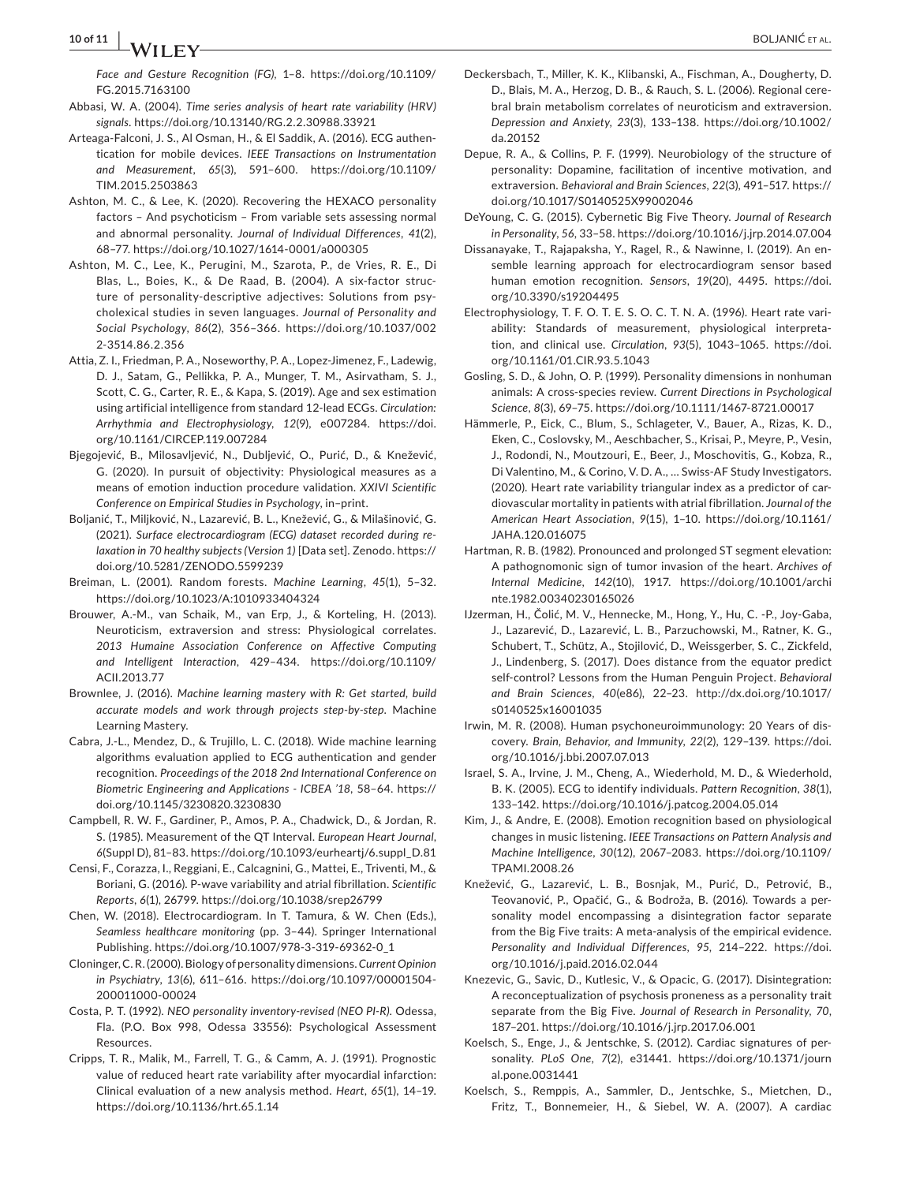*Face and Gesture Recognition (FG)*, 1–8. [https://doi.org/10.1109/](https://doi.org/10.1109/FG.2015.7163100) [FG.2015.7163100](https://doi.org/10.1109/FG.2015.7163100)

- Abbasi, W. A. (2004). *Time series analysis of heart rate variability (HRV) signals*. <https://doi.org/10.13140/RG.2.2.30988.33921>
- Arteaga-Falconi, J. S., Al Osman, H., & El Saddik, A. (2016). ECG authentication for mobile devices. *IEEE Transactions on Instrumentation and Measurement*, *65*(3), 591–600. [https://doi.org/10.1109/](https://doi.org/10.1109/TIM.2015.2503863) [TIM.2015.2503863](https://doi.org/10.1109/TIM.2015.2503863)
- Ashton, M. C., & Lee, K. (2020). Recovering the HEXACO personality factors – And psychoticism – From variable sets assessing normal and abnormal personality. *Journal of Individual Differences*, *41*(2), 68–77. <https://doi.org/10.1027/1614-0001/a000305>
- Ashton, M. C., Lee, K., Perugini, M., Szarota, P., de Vries, R. E., Di Blas, L., Boies, K., & De Raad, B. (2004). A six-factor structure of personality-descriptive adjectives: Solutions from psycholexical studies in seven languages. *Journal of Personality and Social Psychology*, *86*(2), 356–366. [https://doi.org/10.1037/002](https://doi.org/10.1037/0022-3514.86.2.356) [2-3514.86.2.356](https://doi.org/10.1037/0022-3514.86.2.356)
- Attia, Z. I., Friedman, P. A., Noseworthy, P. A., Lopez-Jimenez, F., Ladewig, D. J., Satam, G., Pellikka, P. A., Munger, T. M., Asirvatham, S. J., Scott, C. G., Carter, R. E., & Kapa, S. (2019). Age and sex estimation using artificial intelligence from standard 12-lead ECGs. *Circulation: Arrhythmia and Electrophysiology*, *12*(9), e007284. [https://doi.](https://doi.org/10.1161/CIRCEP.119.007284) [org/10.1161/CIRCEP.119.007284](https://doi.org/10.1161/CIRCEP.119.007284)
- Bjegojević, B., Milosavljević, N., Dubljević, O., Purić, D., & Knežević, G. (2020). In pursuit of objectivity: Physiological measures as a means of emotion induction procedure validation. *XXIVI Scientific Conference on Empirical Studies in Psychology*, in–print.
- Boljanić, T., Miljković, N., Lazarević, B. L., Knežević, G., & Milašinović, G. (2021). *Surface electrocardiogram (ECG) dataset recorded during relaxation in 70 healthy subjects (Version 1)* [Data set]. Zenodo. [https://](https://doi.org/10.5281/ZENODO.5599239) [doi.org/10.5281/ZENODO.5599239](https://doi.org/10.5281/ZENODO.5599239)
- Breiman, L. (2001). Random forests. *Machine Learning*, *45*(1), 5–32. <https://doi.org/10.1023/A:1010933404324>
- Brouwer, A.-M., van Schaik, M., van Erp, J., & Korteling, H. (2013). Neuroticism, extraversion and stress: Physiological correlates. *2013 Humaine Association Conference on Affective Computing and Intelligent Interaction*, 429–434. [https://doi.org/10.1109/](https://doi.org/10.1109/ACII.2013.77) [ACII.2013.77](https://doi.org/10.1109/ACII.2013.77)
- Brownlee, J. (2016). *Machine learning mastery with R: Get started, build accurate models and work through projects step-by-step*. Machine Learning Mastery.
- Cabra, J.-L., Mendez, D., & Trujillo, L. C. (2018). Wide machine learning algorithms evaluation applied to ECG authentication and gender recognition. *Proceedings of the 2018 2nd International Conference on Biometric Engineering and Applications - ICBEA '18*, 58–64. [https://](https://doi.org/10.1145/3230820.3230830) [doi.org/10.1145/3230820.3230830](https://doi.org/10.1145/3230820.3230830)
- Campbell, R. W. F., Gardiner, P., Amos, P. A., Chadwick, D., & Jordan, R. S. (1985). Measurement of the QT Interval. *European Heart Journal*, *6*(Suppl D), 81–83. [https://doi.org/10.1093/eurheartj/6.suppl\\_D.81](https://doi.org/10.1093/eurheartj/6.suppl_D.81)
- Censi, F., Corazza, I., Reggiani, E., Calcagnini, G., Mattei, E., Triventi, M., & Boriani, G. (2016). P-wave variability and atrial fibrillation. *Scientific Reports*, *6*(1), 26799. <https://doi.org/10.1038/srep26799>
- Chen, W. (2018). Electrocardiogram. In T. Tamura, & W. Chen (Eds.), *Seamless healthcare monitoring* (pp. 3–44). Springer International Publishing. [https://doi.org/10.1007/978-3-319-69362-0\\_1](https://doi.org/10.1007/978-3-319-69362-0_1)
- Cloninger, C. R. (2000). Biology of personality dimensions. *Current Opinion in Psychiatry*, *13*(6), 611–616. [https://doi.org/10.1097/00001504-](https://doi.org/10.1097/00001504-200011000-00024) [200011000-00024](https://doi.org/10.1097/00001504-200011000-00024)
- Costa, P. T. (1992). *NEO personality inventory-revised (NEO PI-R)*. Odessa, Fla. (P.O. Box 998, Odessa 33556): Psychological Assessment Resources.
- Cripps, T. R., Malik, M., Farrell, T. G., & Camm, A. J. (1991). Prognostic value of reduced heart rate variability after myocardial infarction: Clinical evaluation of a new analysis method. *Heart*, *65*(1), 14–19. <https://doi.org/10.1136/hrt.65.1.14>
- Deckersbach, T., Miller, K. K., Klibanski, A., Fischman, A., Dougherty, D. D., Blais, M. A., Herzog, D. B., & Rauch, S. L. (2006). Regional cerebral brain metabolism correlates of neuroticism and extraversion. *Depression and Anxiety*, *23*(3), 133–138. [https://doi.org/10.1002/](https://doi.org/10.1002/da.20152) [da.20152](https://doi.org/10.1002/da.20152)
- Depue, R. A., & Collins, P. F. (1999). Neurobiology of the structure of personality: Dopamine, facilitation of incentive motivation, and extraversion. *Behavioral and Brain Sciences*, *22*(3), 491–517. [https://](https://doi.org/10.1017/S0140525X99002046) [doi.org/10.1017/S0140525X99002046](https://doi.org/10.1017/S0140525X99002046)
- DeYoung, C. G. (2015). Cybernetic Big Five Theory. *Journal of Research in Personality*, *56*, 33–58. <https://doi.org/10.1016/j.jrp.2014.07.004>
- Dissanayake, T., Rajapaksha, Y., Ragel, R., & Nawinne, I. (2019). An ensemble learning approach for electrocardiogram sensor based human emotion recognition. *Sensors*, *19*(20), 4495. [https://doi.](https://doi.org/10.3390/s19204495) [org/10.3390/s19204495](https://doi.org/10.3390/s19204495)
- Electrophysiology, T. F. O. T. E. S. O. C. T. N. A. (1996). Heart rate variability: Standards of measurement, physiological interpretation, and clinical use. *Circulation*, *93*(5), 1043–1065. [https://doi.](https://doi.org/10.1161/01.CIR.93.5.1043) [org/10.1161/01.CIR.93.5.1043](https://doi.org/10.1161/01.CIR.93.5.1043)
- Gosling, S. D., & John, O. P. (1999). Personality dimensions in nonhuman animals: A cross-species review. *Current Directions in Psychological Science*, *8*(3), 69–75. <https://doi.org/10.1111/1467-8721.00017>
- Hämmerle, P., Eick, C., Blum, S., Schlageter, V., Bauer, A., Rizas, K. D., Eken, C., Coslovsky, M., Aeschbacher, S., Krisai, P., Meyre, P., Vesin, J., Rodondi, N., Moutzouri, E., Beer, J., Moschovitis, G., Kobza, R., Di Valentino, M., & Corino, V. D. A., … Swiss-AF Study Investigators. (2020). Heart rate variability triangular index as a predictor of cardiovascular mortality in patients with atrial fibrillation. *Journal of the American Heart Association*, *9*(15), 1–10. [https://doi.org/10.1161/](https://doi.org/10.1161/JAHA.120.016075) [JAHA.120.016075](https://doi.org/10.1161/JAHA.120.016075)
- Hartman, R. B. (1982). Pronounced and prolonged ST segment elevation: A pathognomonic sign of tumor invasion of the heart. *Archives of Internal Medicine*, *142*(10), 1917. [https://doi.org/10.1001/archi](https://doi.org/10.1001/archinte.1982.00340230165026) [nte.1982.00340230165026](https://doi.org/10.1001/archinte.1982.00340230165026)
- IJzerman, H., Čolić, M. V., Hennecke, M., Hong, Y., Hu, C. -P., Joy-Gaba, J., Lazarević, D., Lazarević, L. B., Parzuchowski, M., Ratner, K. G., Schubert, T., Schütz, A., Stojilović, D., Weissgerber, S. C., Zickfeld, J., Lindenberg, S. (2017). Does distance from the equator predict self-control? Lessons from the Human Penguin Project. *Behavioral and Brain Sciences*, *40*(e86), 22–23. [http://dx.doi.org/10.1017/](http://dx.doi.org/10.1017/s0140525x16001035) [s0140525x16001035](http://dx.doi.org/10.1017/s0140525x16001035)
- Irwin, M. R. (2008). Human psychoneuroimmunology: 20 Years of discovery. *Brain, Behavior, and Immunity*, *22*(2), 129–139. [https://doi.](https://doi.org/10.1016/j.bbi.2007.07.013) [org/10.1016/j.bbi.2007.07.013](https://doi.org/10.1016/j.bbi.2007.07.013)
- Israel, S. A., Irvine, J. M., Cheng, A., Wiederhold, M. D., & Wiederhold, B. K. (2005). ECG to identify individuals. *Pattern Recognition*, *38*(1), 133–142. <https://doi.org/10.1016/j.patcog.2004.05.014>
- Kim, J., & Andre, E. (2008). Emotion recognition based on physiological changes in music listening. *IEEE Transactions on Pattern Analysis and Machine Intelligence*, *30*(12), 2067–2083. [https://doi.org/10.1109/](https://doi.org/10.1109/TPAMI.2008.26) [TPAMI.2008.26](https://doi.org/10.1109/TPAMI.2008.26)
- Knežević, G., Lazarević, L. B., Bosnjak, M., Purić, D., Petrović, B., Teovanović, P., Opačić, G., & Bodroža, B. (2016). Towards a personality model encompassing a disintegration factor separate from the Big Five traits: A meta-analysis of the empirical evidence. *Personality and Individual Differences*, *95*, 214–222. [https://doi.](https://doi.org/10.1016/j.paid.2016.02.044) [org/10.1016/j.paid.2016.02.044](https://doi.org/10.1016/j.paid.2016.02.044)
- Knezevic, G., Savic, D., Kutlesic, V., & Opacic, G. (2017). Disintegration: A reconceptualization of psychosis proneness as a personality trait separate from the Big Five. *Journal of Research in Personality*, *70*, 187–201. <https://doi.org/10.1016/j.jrp.2017.06.001>
- Koelsch, S., Enge, J., & Jentschke, S. (2012). Cardiac signatures of personality. *PLoS One*, *7*(2), e31441. [https://doi.org/10.1371/journ](https://doi.org/10.1371/journal.pone.0031441) [al.pone.0031441](https://doi.org/10.1371/journal.pone.0031441)
- Koelsch, S., Remppis, A., Sammler, D., Jentschke, S., Mietchen, D., Fritz, T., Bonnemeier, H., & Siebel, W. A. (2007). A cardiac